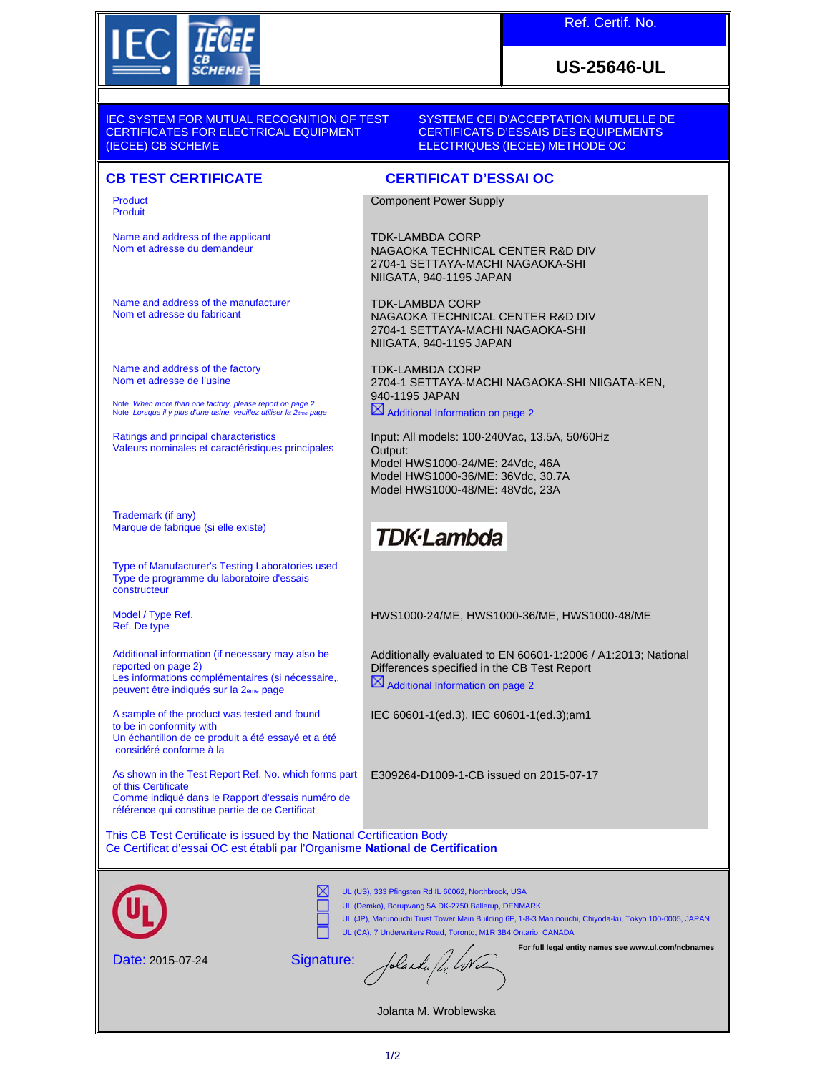

Ref. Certif. No.

## **US-25646-UL**

IEC SYSTEM FOR MUTUAL RECOGNITION OF TEST CERTIFICATES FOR ELECTRICAL EQUIPMENT (IECEE) CB SCHEME

SYSTEME CEI D'ACCEPTATION MUTUELLE DE CERTIFICATS D'ESSAIS DES EQUIPEMENTS ELECTRIQUES (IECEE) METHODE OC

Component Power Supply

NIIGATA, 940-1195 JAPAN

NIIGATA, 940-1195 JAPAN

Additional Information on page 2

**TDK-Lambda** 

Model HWS1000-24/ME: 24Vdc, 46A Model HWS1000-36/ME: 36Vdc, 30.7A Model HWS1000-48/ME: 48Vdc, 23A

NAGAOKA TECHNICAL CENTER R&D DIV 2704-1 SETTAYA-MACHI NAGAOKA-SHI

NAGAOKA TECHNICAL CENTER R&D DIV 2704-1 SETTAYA-MACHI NAGAOKA-SHI

Input: All models: 100-240Vac, 13.5A, 50/60Hz

2704-1 SETTAYA-MACHI NAGAOKA-SHI NIIGATA-KEN,

HWS1000-24/ME, HWS1000-36/ME, HWS1000-48/ME

Differences specified in the CB Test Report

IEC 60601-1(ed.3), IEC 60601-1(ed.3);am1

E309264-D1009-1-CB issued on 2015-07-17

 $\boxtimes$  Additional Information on page 2

Additionally evaluated to EN 60601-1:2006 / A1:2013; National

TDK-LAMBDA CORP

TDK-LAMBDA CORP

TDK-LAMBDA CORP

940-1195 JAPAN

Output:

## **CB TEST CERTIFICATE CERTIFICAT D'ESSAI OC**

Product Produit

Name and address of the applicant Nom et adresse du demandeur

Name and address of the manufacturer Nom et adresse du fabricant

Name and address of the factory Nom et adresse de l'usine

Note: *When more than one factory, please report on page 2* Note: *Lorsque il y plus d'une usine, veuillez utiliser la 2ème page*

Ratings and principal characteristics Valeurs nominales et caractéristiques principales

Trademark (if any) Marque de fabrique (si elle existe)

Type of Manufacturer's Testing Laboratories used Type de programme du laboratoire d'essais constructeur

Model / Type Ref. Ref. De type

Additional information (if necessary may also be reported on page 2) Les informations complémentaires (si nécessaire,, peuvent être indiqués sur la 2ème page

A sample of the product was tested and found to be in conformity with Un échantillon de ce produit a été essayé et a été considéré conforme à la

As shown in the Test Report Ref. No. which forms part of this Certificate Comme indiqué dans le Rapport d'essais numéro de référence qui constitue partie de ce Certificat

This CB Test Certificate is issued by the National Certification Body

Ce Certificat d'essai OC est établi par l'Organisme **National de Certification**

м UL (US), 333 Pfingsten Rd IL 60062, Northbrook, USA UL (Demko), Borupvang 5A DK-2750 Ballerup, DENMARK UL (JP), Marunouchi Trust Tower Main Building 6F, 1-8-3 Marunouchi, Chiyoda-ku, Tokyo 100-0005, JAPAN UL (CA), 7 Underwriters Road, Toronto, M1R 3B4 Ontario, CANADA **For full legal entity names see www.ul.com/ncbnames** folaska fl. Wel Signature: Date: 2015-07-24

Jolanta M. Wroblewska